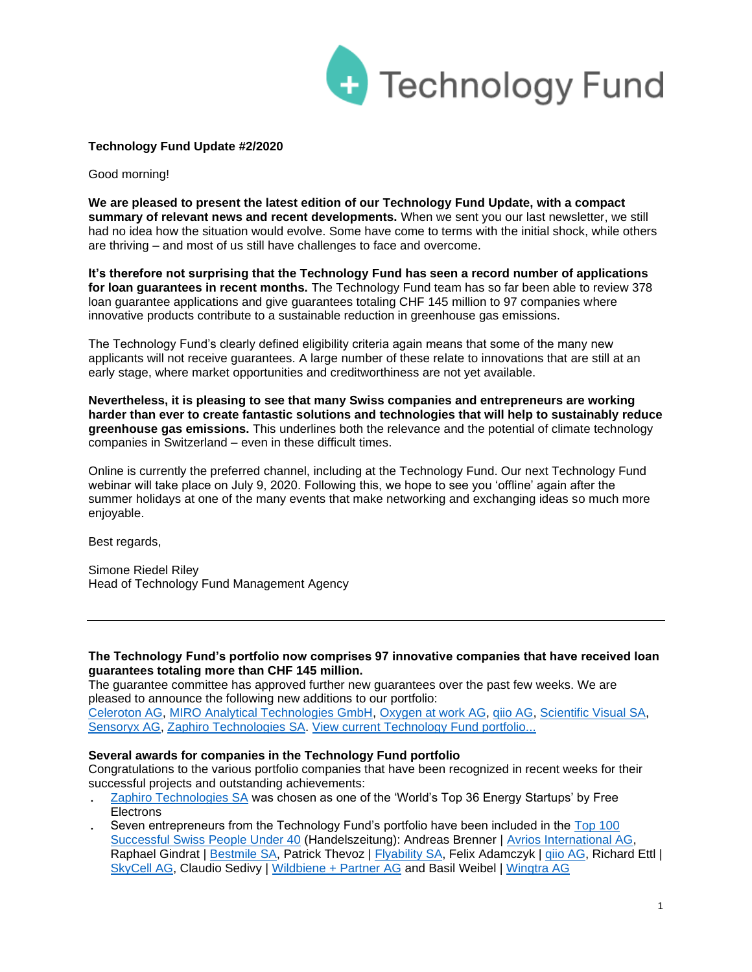

# **Technology Fund Update #2/2020**

Good morning!

**We are pleased to present the latest edition of our Technology Fund Update, with a compact summary of relevant news and recent developments.** When we sent you our last newsletter, we still had no idea how the situation would evolve. Some have come to terms with the initial shock, while others are thriving – and most of us still have challenges to face and overcome.

**It's therefore not surprising that the Technology Fund has seen a record number of applications for loan guarantees in recent months.** The Technology Fund team has so far been able to review 378 loan guarantee applications and give guarantees totaling CHF 145 million to 97 companies where innovative products contribute to a sustainable reduction in greenhouse gas emissions.

The Technology Fund's clearly defined eligibility criteria again means that some of the many new applicants will not receive guarantees. A large number of these relate to innovations that are still at an early stage, where market opportunities and creditworthiness are not yet available.

**Nevertheless, it is pleasing to see that many Swiss companies and entrepreneurs are working harder than ever to create fantastic solutions and technologies that will help to sustainably reduce greenhouse gas emissions.** This underlines both the relevance and the potential of climate technology companies in Switzerland – even in these difficult times.

Online is currently the preferred channel, including at the Technology Fund. Our next Technology Fund webinar will take place on July 9, 2020. Following this, we hope to see you 'offline' again after the summer holidays at one of the many events that make networking and exchanging ideas so much more enjoyable.

Best regards,

Simone Riedel Riley Head of Technology Fund Management Agency

## **The Technology Fund's portfolio now comprises 97 innovative companies that have received loan guarantees totaling more than CHF 145 million.**

The guarantee committee has approved further new guarantees over the past few weeks. We are pleased to announce the following new additions to our portfolio: [Celeroton AG,](https://www.celeroton.com/en.html) [MIRO Analytical Technologies GmbH,](https://www.miro-analytical.com/) [Oxygen at work AG,](https://www.oxygenatwork.org/) [qiio AG,](https://qiio.com/home) [Scientific Visual SA,](https://scientificvisual.ch/) [Sensoryx AG,](https://www.sensoryx.com/) [Zaphiro Technologies SA.](https://zaphiro.ch/) [View current Technology Fund portfolio...](https://www.technologiefonds.ch/portfolio/) 

## **Several awards for companies in the Technology Fund portfolio**

Congratulations to the various portfolio companies that have been recognized in recent weeks for their successful projects and outstanding achievements:

- . [Zaphiro Technologies SA](https://www.technologiefonds.ch/fileadmin/user_upload/presse/2020/2020.03.09_Zaphiro_selected_by_Free_Electrons.pdf) was chosen as one of the 'World's Top 36 Energy Startups' by Free **Electrons**
- Seven entrepreneurs from the Technology Fund's portfolio have been included in the Top 100 [Successful Swiss People Under 40](https://www.handelszeitung.ch/panorama/100-senkrechtstarter-die-erfolg-reichsten-unter-40-jahren) (Handelszeitung): Andreas Brenner | [Avrios International AG,](https://www.avrios.com/) Raphael Gindrat | [Bestmile SA,](https://bestmile.com/) Patrick Thevoz | [Flyability SA,](https://www.flyability.com/) Felix Adamczyk | giio AG, Richard Ettl | [SkyCell AG,](https://www.skycell.ch/) Claudio Sedivy | [Wildbiene + Partner AG](https://wildbieneundpartner.ch/) and Basil Weibel | [Wingtra AG](https://wingtra.com/)